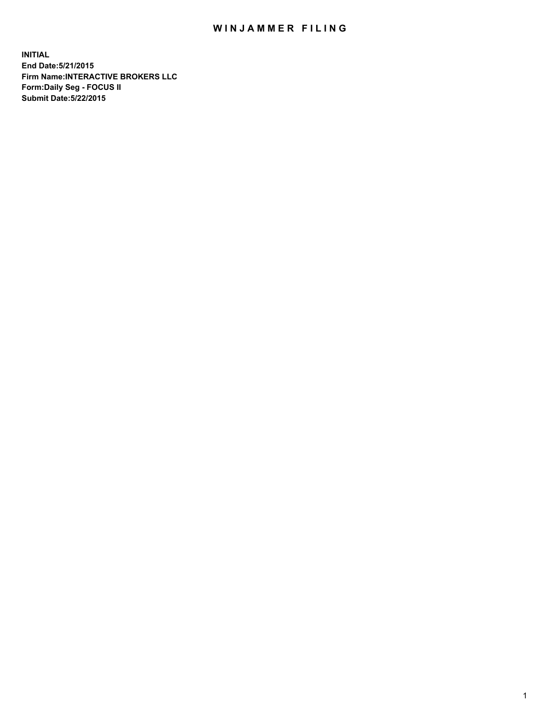## WIN JAMMER FILING

**INITIAL End Date:5/21/2015 Firm Name:INTERACTIVE BROKERS LLC Form:Daily Seg - FOCUS II Submit Date:5/22/2015**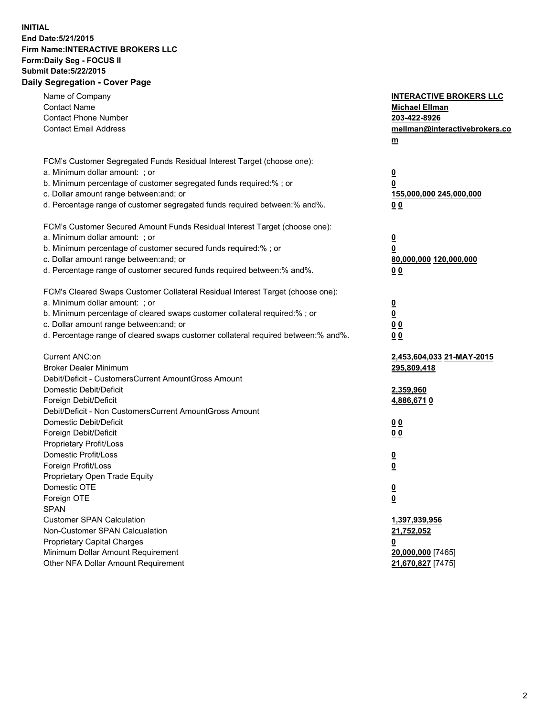## **INITIAL End Date:5/21/2015 Firm Name:INTERACTIVE BROKERS LLC Form:Daily Seg - FOCUS II Submit Date:5/22/2015 Daily Segregation - Cover Page**

| Name of Company<br><b>Contact Name</b><br><b>Contact Phone Number</b><br><b>Contact Email Address</b>    | <b>INTERACTIVE BROKERS LLC</b><br><b>Michael Ellman</b><br>203-422-8926<br>mellman@interactivebrokers.co<br>$m$ |
|----------------------------------------------------------------------------------------------------------|-----------------------------------------------------------------------------------------------------------------|
| FCM's Customer Segregated Funds Residual Interest Target (choose one):<br>a. Minimum dollar amount: ; or | $\overline{\mathbf{0}}$                                                                                         |
| b. Minimum percentage of customer segregated funds required:% ; or                                       | 0                                                                                                               |
| c. Dollar amount range between: and; or                                                                  | 155,000,000 245,000,000                                                                                         |
| d. Percentage range of customer segregated funds required between:% and%.                                | 0 <sub>0</sub>                                                                                                  |
| FCM's Customer Secured Amount Funds Residual Interest Target (choose one):                               |                                                                                                                 |
| a. Minimum dollar amount: ; or                                                                           | $\overline{\mathbf{0}}$                                                                                         |
| b. Minimum percentage of customer secured funds required:% ; or                                          | 0                                                                                                               |
| c. Dollar amount range between: and; or                                                                  | 80,000,000 120,000,000                                                                                          |
| d. Percentage range of customer secured funds required between:% and%.                                   | 0 <sub>0</sub>                                                                                                  |
| FCM's Cleared Swaps Customer Collateral Residual Interest Target (choose one):                           |                                                                                                                 |
| a. Minimum dollar amount: ; or                                                                           | $\overline{\mathbf{0}}$                                                                                         |
| b. Minimum percentage of cleared swaps customer collateral required:% ; or                               | $\overline{\mathbf{0}}$                                                                                         |
| c. Dollar amount range between: and; or                                                                  | 0 <sub>0</sub>                                                                                                  |
| d. Percentage range of cleared swaps customer collateral required between:% and%.                        | 0 <sub>0</sub>                                                                                                  |
| Current ANC:on                                                                                           | 2,453,604,033 21-MAY-2015                                                                                       |
| <b>Broker Dealer Minimum</b>                                                                             | 295,809,418                                                                                                     |
| Debit/Deficit - CustomersCurrent AmountGross Amount                                                      |                                                                                                                 |
| Domestic Debit/Deficit                                                                                   | 2,359,960                                                                                                       |
| Foreign Debit/Deficit                                                                                    | 4,886,6710                                                                                                      |
| Debit/Deficit - Non CustomersCurrent AmountGross Amount                                                  |                                                                                                                 |
| Domestic Debit/Deficit                                                                                   | 0 <sub>0</sub>                                                                                                  |
| Foreign Debit/Deficit                                                                                    | 0 <sub>0</sub>                                                                                                  |
| Proprietary Profit/Loss                                                                                  |                                                                                                                 |
| Domestic Profit/Loss                                                                                     | $\overline{\mathbf{0}}$                                                                                         |
| Foreign Profit/Loss                                                                                      | $\underline{\mathbf{0}}$                                                                                        |
| Proprietary Open Trade Equity                                                                            |                                                                                                                 |
| Domestic OTE                                                                                             | <u>0</u>                                                                                                        |
| Foreign OTE                                                                                              | <u>0</u>                                                                                                        |
| <b>SPAN</b><br><b>Customer SPAN Calculation</b>                                                          |                                                                                                                 |
| Non-Customer SPAN Calcualation                                                                           | 1,397,939,956                                                                                                   |
| Proprietary Capital Charges                                                                              | 21,752,052                                                                                                      |
| Minimum Dollar Amount Requirement                                                                        | <u>0</u><br>20,000,000 [7465]                                                                                   |
| Other NFA Dollar Amount Requirement                                                                      | 21,670,827 [7475]                                                                                               |
|                                                                                                          |                                                                                                                 |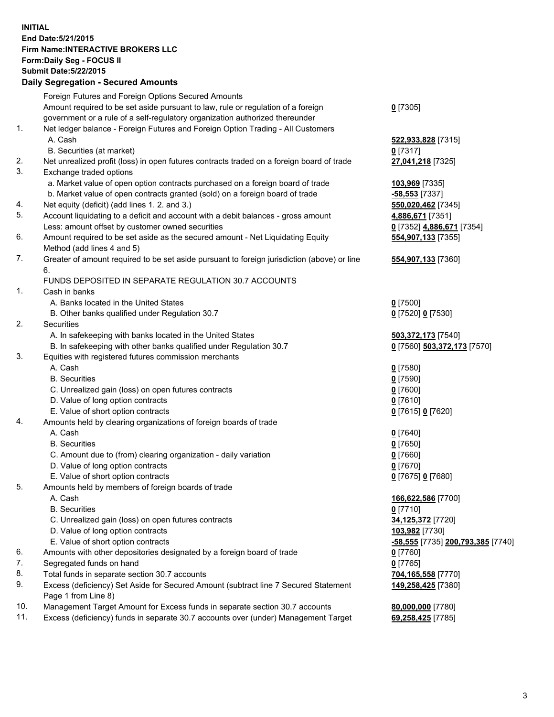## **INITIAL End Date:5/21/2015 Firm Name:INTERACTIVE BROKERS LLC Form:Daily Seg - FOCUS II Submit Date:5/22/2015 Daily Segregation - Secured Amounts**

|                | Dany Oogregation - Oecarea Amounts                                                          |                                   |
|----------------|---------------------------------------------------------------------------------------------|-----------------------------------|
|                | Foreign Futures and Foreign Options Secured Amounts                                         |                                   |
|                | Amount required to be set aside pursuant to law, rule or regulation of a foreign            | $0$ [7305]                        |
|                | government or a rule of a self-regulatory organization authorized thereunder                |                                   |
| 1.             | Net ledger balance - Foreign Futures and Foreign Option Trading - All Customers             |                                   |
|                | A. Cash                                                                                     | 522,933,828 [7315]                |
|                | B. Securities (at market)                                                                   | $0$ [7317]                        |
| 2.             | Net unrealized profit (loss) in open futures contracts traded on a foreign board of trade   | 27,041,218 [7325]                 |
| 3.             | Exchange traded options                                                                     |                                   |
|                | a. Market value of open option contracts purchased on a foreign board of trade              | 103,969 [7335]                    |
|                | b. Market value of open contracts granted (sold) on a foreign board of trade                | $-58,553$ [7337]                  |
| 4.             | Net equity (deficit) (add lines 1.2. and 3.)                                                | 550,020,462 [7345]                |
| 5.             | Account liquidating to a deficit and account with a debit balances - gross amount           | 4,886,671 [7351]                  |
|                | Less: amount offset by customer owned securities                                            | 0 [7352] 4,886,671 [7354]         |
| 6.             | Amount required to be set aside as the secured amount - Net Liquidating Equity              | 554,907,133 [7355]                |
|                | Method (add lines 4 and 5)                                                                  |                                   |
| 7.             | Greater of amount required to be set aside pursuant to foreign jurisdiction (above) or line | 554,907,133 [7360]                |
|                | 6.                                                                                          |                                   |
|                | FUNDS DEPOSITED IN SEPARATE REGULATION 30.7 ACCOUNTS                                        |                                   |
| $\mathbf{1}$ . | Cash in banks                                                                               |                                   |
|                | A. Banks located in the United States                                                       | $0$ [7500]                        |
|                | B. Other banks qualified under Regulation 30.7                                              | 0 [7520] 0 [7530]                 |
| 2.             | Securities                                                                                  |                                   |
|                | A. In safekeeping with banks located in the United States                                   | 503,372,173 [7540]                |
|                | B. In safekeeping with other banks qualified under Regulation 30.7                          | 0 [7560] 503,372,173 [7570]       |
| 3.             | Equities with registered futures commission merchants                                       |                                   |
|                | A. Cash                                                                                     | $0$ [7580]                        |
|                | <b>B.</b> Securities                                                                        | $0$ [7590]                        |
|                | C. Unrealized gain (loss) on open futures contracts                                         | $0$ [7600]                        |
|                | D. Value of long option contracts                                                           | $0$ [7610]                        |
|                | E. Value of short option contracts                                                          | 0 [7615] 0 [7620]                 |
| 4.             | Amounts held by clearing organizations of foreign boards of trade                           |                                   |
|                | A. Cash                                                                                     | $0$ [7640]                        |
|                | <b>B.</b> Securities                                                                        | $0$ [7650]                        |
|                | C. Amount due to (from) clearing organization - daily variation                             | $0$ [7660]                        |
|                | D. Value of long option contracts                                                           | $0$ [7670]                        |
|                | E. Value of short option contracts                                                          | 0 [7675] 0 [7680]                 |
| 5.             | Amounts held by members of foreign boards of trade                                          |                                   |
|                | A. Cash                                                                                     | 166,622,586 [7700]                |
|                | <b>B.</b> Securities                                                                        | $0$ [7710]                        |
|                | C. Unrealized gain (loss) on open futures contracts                                         | 34,125,372 [7720]                 |
|                | D. Value of long option contracts                                                           | 103,982 [7730]                    |
|                | E. Value of short option contracts                                                          | -58,555 [7735] 200,793,385 [7740] |
| 6.             | Amounts with other depositories designated by a foreign board of trade                      | 0 [7760]                          |
| 7.             | Segregated funds on hand                                                                    | $0$ [7765]                        |
| 8.             | Total funds in separate section 30.7 accounts                                               | 704,165,558 [7770]                |
| 9.             | Excess (deficiency) Set Aside for Secured Amount (subtract line 7 Secured Statement         | 149,258,425 [7380]                |
|                | Page 1 from Line 8)                                                                         |                                   |
| 10.            | Management Target Amount for Excess funds in separate section 30.7 accounts                 | 80,000,000 [7780]                 |
| 11.            | Excess (deficiency) funds in separate 30.7 accounts over (under) Management Target          | 69,258,425 [7785]                 |
|                |                                                                                             |                                   |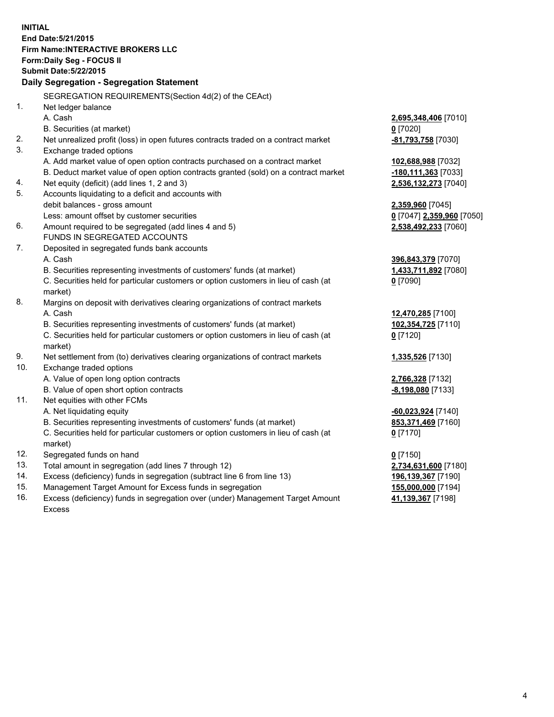**INITIAL End Date:5/21/2015 Firm Name:INTERACTIVE BROKERS LLC Form:Daily Seg - FOCUS II Submit Date:5/22/2015 Daily Segregation - Segregation Statement** SEGREGATION REQUIREMENTS(Section 4d(2) of the CEAct) 1. Net ledger balance A. Cash **2,695,348,406** [7010] B. Securities (at market) **0** [7020] 2. Net unrealized profit (loss) in open futures contracts traded on a contract market **-81,793,758** [7030] 3. Exchange traded options A. Add market value of open option contracts purchased on a contract market **102,688,988** [7032] B. Deduct market value of open option contracts granted (sold) on a contract market **-180,111,363** [7033] 4. Net equity (deficit) (add lines 1, 2 and 3) **2,536,132,273** [7040] 5. Accounts liquidating to a deficit and accounts with debit balances - gross amount **2,359,960** [7045] Less: amount offset by customer securities **0** [7047] **2,359,960** [7050] 6. Amount required to be segregated (add lines 4 and 5) **2,538,492,233** [7060] FUNDS IN SEGREGATED ACCOUNTS 7. Deposited in segregated funds bank accounts A. Cash **396,843,379** [7070] B. Securities representing investments of customers' funds (at market) **1,433,711,892** [7080] C. Securities held for particular customers or option customers in lieu of cash (at market) **0** [7090] 8. Margins on deposit with derivatives clearing organizations of contract markets A. Cash **12,470,285** [7100] B. Securities representing investments of customers' funds (at market) **102,354,725** [7110] C. Securities held for particular customers or option customers in lieu of cash (at market) **0** [7120] 9. Net settlement from (to) derivatives clearing organizations of contract markets **1,335,526** [7130] 10. Exchange traded options A. Value of open long option contracts **2,766,328** [7132] B. Value of open short option contracts **-8,198,080** [7133] 11. Net equities with other FCMs A. Net liquidating equity **-60,023,924** [7140] B. Securities representing investments of customers' funds (at market) **853,371,469** [7160] C. Securities held for particular customers or option customers in lieu of cash (at market) **0** [7170] 12. Segregated funds on hand **0** [7150] 13. Total amount in segregation (add lines 7 through 12) **2,734,631,600** [7180] 14. Excess (deficiency) funds in segregation (subtract line 6 from line 13) **196,139,367** [7190] 15. Management Target Amount for Excess funds in segregation **155,000,000** [7194]

16. Excess (deficiency) funds in segregation over (under) Management Target Amount Excess

**41,139,367** [7198]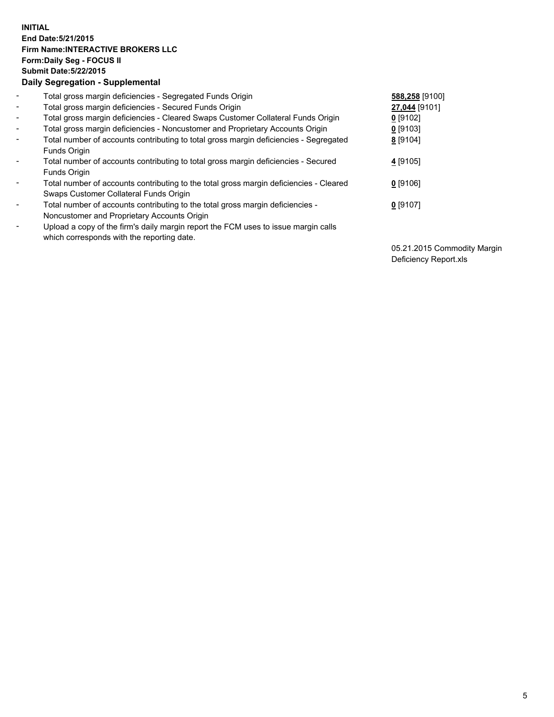## **INITIAL End Date:5/21/2015 Firm Name:INTERACTIVE BROKERS LLC Form:Daily Seg - FOCUS II Submit Date:5/22/2015 Daily Segregation - Supplemental**

| $\blacksquare$           | Total gross margin deficiencies - Segregated Funds Origin                                                                        | 588,258 [9100] |
|--------------------------|----------------------------------------------------------------------------------------------------------------------------------|----------------|
| $\blacksquare$           | Total gross margin deficiencies - Secured Funds Origin                                                                           | 27,044 [9101]  |
| $\blacksquare$           | Total gross margin deficiencies - Cleared Swaps Customer Collateral Funds Origin                                                 | $0$ [9102]     |
| $\blacksquare$           | Total gross margin deficiencies - Noncustomer and Proprietary Accounts Origin                                                    | $0$ [9103]     |
| $\blacksquare$           | Total number of accounts contributing to total gross margin deficiencies - Segregated<br>Funds Origin                            | 8 [9104]       |
| $\blacksquare$           | Total number of accounts contributing to total gross margin deficiencies - Secured<br><b>Funds Origin</b>                        | 4 [9105]       |
| $\overline{\phantom{a}}$ | Total number of accounts contributing to the total gross margin deficiencies - Cleared<br>Swaps Customer Collateral Funds Origin | $0$ [9106]     |
| -                        | Total number of accounts contributing to the total gross margin deficiencies -<br>Noncustomer and Proprietary Accounts Origin    | $0$ [9107]     |
| $\blacksquare$           | Upload a copy of the firm's daily margin report the FCM uses to issue margin calls<br>which corresponds with the reporting date. |                |

05.21.2015 Commodity Margin Deficiency Report.xls